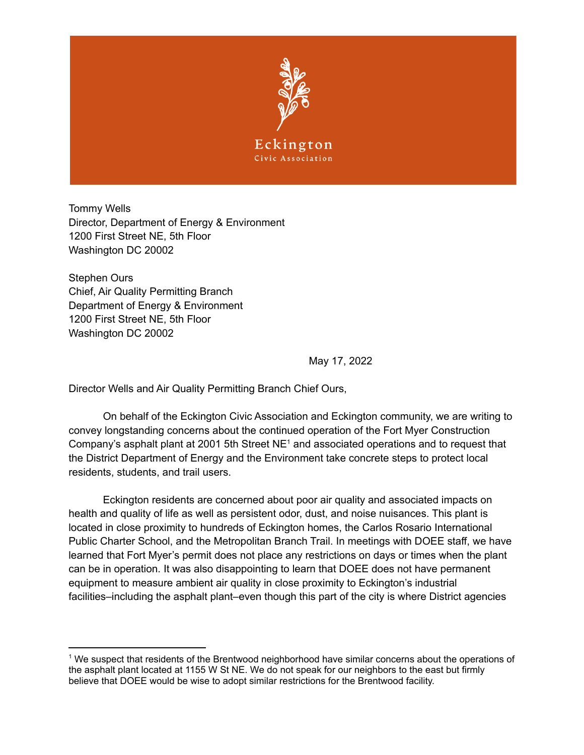

Tommy Wells Director, Department of Energy & Environment 1200 First Street NE, 5th Floor Washington DC 20002

Stephen Ours Chief, Air Quality Permitting Branch Department of Energy & Environment 1200 First Street NE, 5th Floor Washington DC 20002

May 17, 2022

Director Wells and Air Quality Permitting Branch Chief Ours,

On behalf of the Eckington Civic Association and Eckington community, we are writing to convey longstanding concerns about the continued operation of the Fort Myer Construction Company's asphalt plant at 2001 5th Street  $NE<sup>1</sup>$  and associated operations and to request that the District Department of Energy and the Environment take concrete steps to protect local residents, students, and trail users.

Eckington residents are concerned about poor air quality and associated impacts on health and quality of life as well as persistent odor, dust, and noise nuisances. This plant is located in close proximity to hundreds of Eckington homes, the Carlos Rosario International Public Charter School, and the Metropolitan Branch Trail. In meetings with DOEE staff, we have learned that Fort Myer's permit does not place any restrictions on days or times when the plant can be in operation. It was also disappointing to learn that DOEE does not have permanent equipment to measure ambient air quality in close proximity to Eckington's industrial facilities–including the asphalt plant–even though this part of the city is where District agencies

<sup>1</sup> We suspect that residents of the Brentwood neighborhood have similar concerns about the operations of the asphalt plant located at 1155 W St NE. We do not speak for our neighbors to the east but firmly believe that DOEE would be wise to adopt similar restrictions for the Brentwood facility.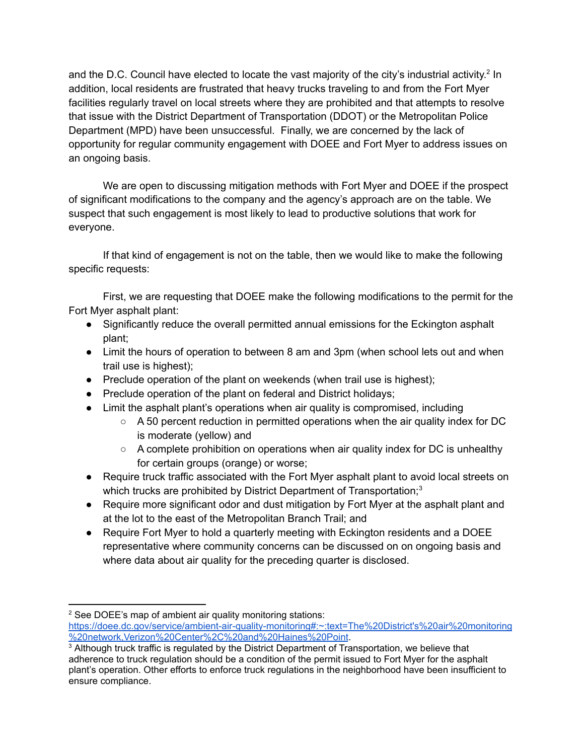and the D.C. Council have elected to locate the vast majority of the city's industrial activity.<sup>2</sup> In addition, local residents are frustrated that heavy trucks traveling to and from the Fort Myer facilities regularly travel on local streets where they are prohibited and that attempts to resolve that issue with the District Department of Transportation (DDOT) or the Metropolitan Police Department (MPD) have been unsuccessful. Finally, we are concerned by the lack of opportunity for regular community engagement with DOEE and Fort Myer to address issues on an ongoing basis.

We are open to discussing mitigation methods with Fort Myer and DOEE if the prospect of significant modifications to the company and the agency's approach are on the table. We suspect that such engagement is most likely to lead to productive solutions that work for everyone.

If that kind of engagement is not on the table, then we would like to make the following specific requests:

First, we are requesting that DOEE make the following modifications to the permit for the Fort Myer asphalt plant:

- Significantly reduce the overall permitted annual emissions for the Eckington asphalt plant;
- Limit the hours of operation to between 8 am and 3pm (when school lets out and when trail use is highest);
- Preclude operation of the plant on weekends (when trail use is highest);
- Preclude operation of the plant on federal and District holidays;
- Limit the asphalt plant's operations when air quality is compromised, including
	- A 50 percent reduction in permitted operations when the air quality index for DC is moderate (yellow) and
	- A complete prohibition on operations when air quality index for DC is unhealthy for certain groups (orange) or worse;
- Require truck traffic associated with the Fort Myer asphalt plant to avoid local streets on which trucks are prohibited by District Department of Transportation;<sup>3</sup>
- Require more significant odor and dust mitigation by Fort Myer at the asphalt plant and at the lot to the east of the Metropolitan Branch Trail; and
- Require Fort Myer to hold a quarterly meeting with Eckington residents and a DOEE representative where community concerns can be discussed on on ongoing basis and where data about air quality for the preceding quarter is disclosed.

<sup>&</sup>lt;sup>2</sup> See DOEE's map of ambient air quality monitoring stations: [https://doee.dc.gov/service/ambient-air-quality-monitoring#:~:text=The%20District's%20air%20monitoring](https://doee.dc.gov/service/ambient-air-quality-monitoring#:~:text=The%20District) [%20network,Verizon%20Center%2C%20and%20Haines%20Point](https://doee.dc.gov/service/ambient-air-quality-monitoring#:~:text=The%20District).

<sup>&</sup>lt;sup>3</sup> Although truck traffic is regulated by the District Department of Transportation, we believe that adherence to truck regulation should be a condition of the permit issued to Fort Myer for the asphalt plant's operation. Other efforts to enforce truck regulations in the neighborhood have been insufficient to ensure compliance.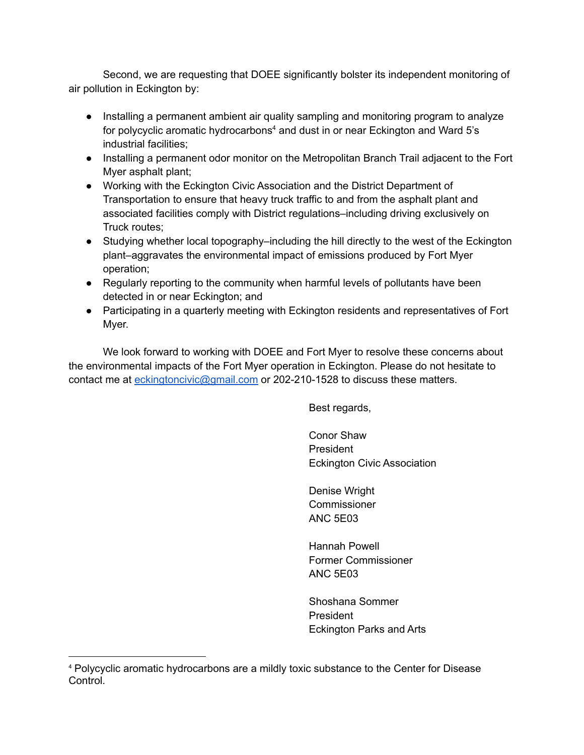Second, we are requesting that DOEE significantly bolster its independent monitoring of air pollution in Eckington by:

- Installing a permanent ambient air quality sampling and monitoring program to analyze for polycyclic aromatic hydrocarbons<sup>4</sup> and dust in or near Eckington and Ward 5's industrial facilities;
- Installing a permanent odor monitor on the Metropolitan Branch Trail adjacent to the Fort Myer asphalt plant;
- Working with the Eckington Civic Association and the District Department of Transportation to ensure that heavy truck traffic to and from the asphalt plant and associated facilities comply with District regulations–including driving exclusively on Truck routes;
- Studying whether local topography–including the hill directly to the west of the Eckington plant–aggravates the environmental impact of emissions produced by Fort Myer operation;
- Regularly reporting to the community when harmful levels of pollutants have been detected in or near Eckington; and
- Participating in a quarterly meeting with Eckington residents and representatives of Fort Myer.

We look forward to working with DOEE and Fort Myer to resolve these concerns about the environmental impacts of the Fort Myer operation in Eckington. Please do not hesitate to contact me at [eckingtoncivic@gmail.com](mailto:eckingtoncivic@gmail.com) or 202-210-1528 to discuss these matters.

Best regards,

Conor Shaw President Eckington Civic Association

Denise Wright **Commissioner** ANC 5E03

Hannah Powell Former Commissioner ANC 5E03

Shoshana Sommer President Eckington Parks and Arts

<sup>4</sup> Polycyclic aromatic hydrocarbons are a mildly toxic substance to the Center for Disease Control.